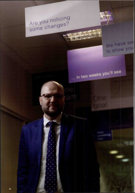

We have sor to show you

in two weeks you'll see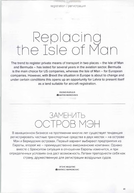registration / регистрация

# the Isle of M

The trend to register private means of transport in two places - the Isle of Man and Bermuda – has lasted for several years in the aviation sector. Bermuda is the main choice for US companies, whereas the Isle of Man - for European companies. However, with Brexit the situation in Europe is about to change and under certain conditions this opens up an opportunity for Latvia to present itself as a land suitable for aircraft registration.

> **EGONS MUDULIS** MATISS MARKOVSKIS

# *SAMEHVITH* C.TPOB M.ƏH

В авиационном бизнесе на протяжении многих лет существует тенденция регистрировать частные транспортные средства в двух местах - на острове Мэн и Бермудских островах. Первый вариант выбирают предприятия из Европы, второй же - преимущественно американские компании. Однако вместе с Брекситом ситуация в отношении Европы изменится, и при определенных условиях она даст возможность Латвии преподнести себя как страну, дружественную для регистрации воздушных судов.

> ЭГОНС МУДУЛИС • МАТИСС МАРКОВСКИС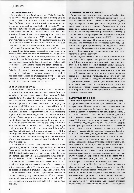# registration

### OFFERED ADVANTAGES

Sworn advocate and Sorainen partner Jānis Taukačs believes that choosing jurisdiction as such is nothing unusual or bad. Similar as in maritime transport where vessels have flags of different exotic countries, also in aviation sector this is common practice. Import and value added tax (VAT) benefits, excise duties on fuel and CIT system are the main reasons why European companies so far have chosen to register their aircraft in the Isle of Man. The relevant legislation was introduced in the Isle of Man around 2007 to enable simpler aircraft registration, as well as to settle customs formalities and VAT deduction procedures and to facilitate the use of such means of transport across the EU as much as possible.

When asked whether apart from customs and VAT there are any other benefits for aircraft registration in the Isle of Man, Taukačs states that the issue of corporate income tax (CIT) currently remains open. In other words, this issue is now being examined by the European Commission (EC) in respect of the companies based in the Isle of Man, since it follows both from the so-called 'Panama Papērs' and other offshore-related scandals that offshore structures are not always used lawfully. In order to reflect transactions accurately, companies based in the Isle of Man are required to report revenue which has been earned from air transportation by the companies registered in the Isle of Man, using aircraft registered there, and which corresponds to the market price.

### ON THE VERGE OF CHANGES

The mentioned benefits related to VAT and customs formalities will soon cease to exist in their current form. The situation is about to change because of two reasons, Taukačs accents. First, it is clear that things will change because of Brexit as the Isle of Man is part of Great Britain and therefore the opportunity to access the European Union (EU) single market and VAT area in the present form will be denied. Namely, an island outside the EU can no longer provide favourable conditions for flights within the EU without settling import formalities. According to Taukačs, this is one of the adverse effects that people neglected when voting to leave the EU. Consequently, many businesses will now have to decide how to ensure further access to the European market as the Isle of Man, most likely, will no longer qualify as jurisdiction convenient for aircraft registration. It is possible that this will not apply to the means of transport with the Union goods status imported into the EU thus far, but the occurrence of another trend with regard to the new means of transport as regards the place of aircraft registration and import is possible.

Second, the Isle of Man is also no longer an offshore as it has signed an agreement for the exchange of information with the Organisation for Economic Co-operation and Development (OECD). It is stipulated also in the Latvian legislation that once an offshore signs such agreement, it loses the status of an offshore and is removed from the 'black list'. This means that any tax office in any EU Member State has access to information on what is happening with a tax resident of the relevant state in the respective offshore. This in turn means that the veil of deliberate tax evasion is gradually falling. Hence, whenever a tax office receives information on suspicion that a Latvian tax resident is evading tax payments, this tax office may request more details and the administrative body of the Isle of Man has the obligation to provide such details, Sorainen partner explains.

### ПРЕИМУЩЕСТВА ПРЕДЛАГАЮЩЕГО

По мнению присяжного адвоката, партнера Sorainen Яниса Таукачса, выбор соответствующих юрисдикции сам по себе не является чем-то необычным или плохим. Подобно морским перевозкам, где судна ходят по флагами разных экзотических стран, в авиационном бизнесе часто делается ровно то же самое. Главная причина, почему европейские компании до сих пор выбирали регистрацию самолета на острове Мэн, - это преимущества, связанные с импортом и налогом на добавленную стоимость (НДС), а также акциз на топливо и система ПНП. Соответствующее законодательство было разработано на острове Мэн в 2007 году с целью облегчить регистрацию воздушных судов, улаживание таможенных формальностей и проведение процедур по вычету НДС, а также упростить использование этих транспортных средств по всему ЕС.

На вопрос, есть ли какие-либо еще преимущества помимо таможни и НДС в случае регистрации самолета на острове Мэн, Я. Таукачс отмечает, что подоходныи налог с предприятии (ПНП) на данный момент остается открытои проблемои. Данныи аспект начала изучать Европейская комиссия (EK) в отношении компании острова Мэн, поскольку как из т. н. Панамских документов, так и из других скандалов, связанных с офшорами, появились документы о том, что ocļunopHbie CTpyxTypbi He Bcerfla Hcnojib3yroTca 33kohho. *Jļna* корректного отражения сделок предприятиям на острове Мэн необходимо указывать соответствующие рыночным ценам доходы от авиаперевозок, которые осуществляют зарегистрированные на острове предприятия на зарегистрированных там самолетах.

### В АВАНГАРДЕ ИЗМЕНЕНИЙ

Упомянутые преимущества в отношении НДС и таможенных формальностей в своем текущем виде больше долго не просуществуют. Пришло время перемен, так как произошли две вещи, подчеркивает Я. Таукачс. Во-первых, ясно, что вместе с Брекситом положение дел изменится, поскольку остров Мэн является частью Великобритании, для которой преимущество доступа к единому рынку Европейского союза (EC) и таможенному и налоговому пространству EC в его текущем виде будет отменено. Так, остров, который впредь будет располагаться за пределами ЕС, больше не сможет предоставлять преимущества для полетов в Европейском союзе без оформления импортных формальностей. По его словам, это один из побочных эффектов, о котором люди не задумывались, голосуя за выход из ЕС. В результате многим компаниям теперь придется решить, что делать, чтобы сохранить доступ к европеискому рынку, так как остров Мэн едва ли в дальнеишем будет столь привлекательной юрисдикцией для регистрации воздушных судов. Может быть, что это не коснется импортированных до сего момента транспортных средств, которые уже получили статус товаров ЕС. Вероятно, в отношении новых транспортных средств сформируется некая иная тенденция, где регистрировать и импортировать воздушные судна.

Во-вторых, остров Мэн фактически больше не является офшорнои зонои, так как им был заключен договор с Организацией экономического сотрудничества и развития (ОЭСР) об обмене информациеи. В законодательстве Латвии также было прописано, что после заключения такого договора офшорнои зонои она перестает считаться таковои и исключается из «черного списка». Это означает, что любая служба доходов в любои стране-участнице ЕС имеет доступ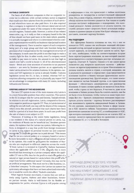## регистрация

### SUITABLE CANDIDATE

The basis of ali offshore companies is that no corporate income tax is collected, while certain tertiary sector is required that would earn their salaries from the provision of such services and wherefrom taxes are also paid there. It is also required that a company is registered in the relevant island and aircraft is registered under the name of this company in the respective aircraft register, Taukačs adds. However, a series of tax-related issues arise, e.g., is it really so that a company based in the Isle of Man should not have paid taxes in the State where, possibly, it is actually managed and where it is determined whereto company representatives would fly on business trips (actual location of the management). There is another aspect of such companies being part of a large group and their sole function being the provision of air transportation for the management structure of the company. In such cases the profit is not that large to make a country fight for that. In other words, even if a company would be liable to pay taxes in Latvia, the amount is not that high to search over half a world to locate it. Ali of the aforementioned issues - Brexit and close attention of countries to tax payment matters - are seen by Sorainen partner as an opportunity to make Latvia attractive for aviation business. In his opinion, customs and VAT legislation in Latvia is already flexible. Customs legislation across the EU, in fact, is similar, whereas VAT exemptions allowing companies not to physically pay import VAT are an advantage in comparison with many EU States, including Lithuania and Estonia.

### KEEPING AHEAD OF THE NEIGHBOURS

The new CIT system is one of the main reasons why Latvia is in a more favourable position than other countries. This system in the EU is unique only for Latvia and Estonia, Taukačs reveals. In relation to aircraft registration, Latvia, compared to Estonia, is in a superior position as regards CIT. Thus, in Latvia instead of selling the aircraft itself, one may sell the shares of the company which owns this aircraft, provided that such shares have been held for a period of at least three years. In such case profit from the sale of shares is not subject to CIT.

"Moreover, if looking at the entire Baltie legislation, being a tax resident in the status of a natūrai person in Latvia, e.g., for residents of Russia can be beneficial too," Sorainen partner states. He explains that the Latvian tax system, following its reform, is designed in a way that profit from foreign investment in Latvia is not subject to personal income tax and corporate ineome tax, if corporate ineome tax is paid abroad. "This means that for me as a natural person or a company based in Latvia it is more favourable to start a business abroad instead of Latvia." In his opinion, this could be good news for residents of Russia who are employed in different countries across the world: "If from Latvia it is invested in Cvpriot or Maltese businesses where the applicable CIT rate is 2-3%, naturally this is more beneficial than investing in a Latvian company where the applicable CIT rate is 25%, thus for the profit to reach the wallet of a natural or legal person based in Latvia (where this profit is exempt from further additional taxes)." Certainly, this may not be an artificial arrangement. This must not be a fake business, i.e., a 'letterbox' company. "In this aspect the Latvian tax system has quite many advantages that have not been advertised extemally, but it would be worth the effort," Taukačs eoneludes.

What regards Russian merchants, it seems they are still actively using Cypriot, Maltese and other businesses, Sorainen partner reveals. Malta is well-known for its flexible arrangements for yachts, whereas Cyprus is still popular among к информации о том, что происходит с любым налоговым резидентом ее государства в соответствующей офшорной зоне. Это, в свою очередь, означает, что покров осознанного обхода налогов постепенно срывается. Как только в службу доходов поступает информация о подозрениях, что налоговый резидент Латвии уклоняется от уплаты налогов, эта служба доходов может запросить более детальную информацию и администрация острова Мэн будет обязана ее предоставить, поясняет партнер Sorainen.

### МЫ ПОДХОДИМ

Все офшорные бизнесы основаны на том, что с них не взимается ПНП, однако им необходим знающий обслуживающий сектор, который за предоставление таких услуг получает зарплату, из которой платит налоги по месту. Кроме того, необходимо, чтобы на соответствующем острове была зарегистрирована компания, на имя которой самолет регистрируется в соответствующем реестре летальных аппаратов, отмечает Я. Таукачс. Однако в то же самое время появляется ряд вопросов касательно налогов - деиствительно ли зарегистрированная на острове Мэн компания не должна платить налоги в стране, в которои, возможно, ею в реальности руководят и определяют, куда представители компании полетят в бизнес-поездки (фактическое местонахождение руководства). Другои вопрос, что такие компании являются частью большой группы, и их единственная функция - обеспечивать авиаперевозки для руководства компании. В таких случаях прибыль не является столь большой, чтобы страна за нее боролась. В частности, даже если компания в Латвии должна была бы платить налоги, они бы не были столь большими, чтобы гнаться за ними через полмира. Все это - Брексит, повышенное внимание стран к вопросам уплаты налогов - партнер Sorainen рассматривает как возможность привлечь авиационный бизнес в Латвию. По его мнению, законодательство Латвии в сфере таможни и НДС является гибким. Таможенное законодательство фактически одинаково по всему ЕС, а освобождение от НДС, при котором компании могут физически не платить НДС за импорт, является преимуществом по сравнению со многими странами ЕС, в т. ч. Литвои и Эстонией.

НАМ НАДО ДОРАСТИ ДО ТОГО, ЧТО МИР ИЗМЕНИЛСЯ, И ВО ВСЕХ СФЕРАХ ПОНЯТЬ, КАК НАШ КЛИЕНТ ЗАРАБАТЫВАЕТ, А НЕ РАДОВАТЬСЯ ТОМУ, ЧТО НАМ ПРИНОСЯТ НАЛИЧНЫЕ ДЕНЬГИ В ОФИС И ОПЛАЧИВАЮТ **НАШ СЧЕТ.**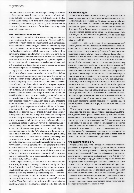# registration

CIS merchants as jurisdiction for holdings. The impact of Brexit on Russian merchants depends on the structure of each individual business. Meanwhile, business entities based in the Isle of Man could change their mind as to vvhether their company is necessary there and maybe different jurisdiction should be chosen. At this point the matter of what Latvia can bring to the table will become topical.

### WHAT ELSE SHOULD BE CHANGED?

When asked if we stili need to do something to make aircraft registration in Latvia more attractive, Taukačs said that there was certainly room for improvement. Such jurisdictions as Switzerland or Luxembourg, which are popular among large trade companies, can serve as an example. Representatives of a Russian secondary establishment involved in the trade of agricultural producē told him they were seriously considering Latvia as potential jurisdiction where to settle a trade company separated from the manufacturing process. Specific legislation for the attraction of such companies has been developed both in Switzerland and Luxembourg, creating certain advantages why these companies are heading there.

They got, for instance, lower tax rates for such business of which currently one cannot speak about in Latvia. Nevertheless, one may speak about numerous countries quite flexibly looking at the placement of expenditure on CIT base. This means that instead of imposing certain restrictions, it should be allowed to place ali matters applying to business, advertising and expenses conducted by large global companies on business expenditure. For instance, an individual with private aircraft travels from Brazil to Columbia where there are particular clients whom this individual should meet, because travelling by aircraft is stili a very prestigious matter that shows a high status. Placement of such expenses within CIT calculation base is very important, Sorainen partner accents. However, in Latvia this is currently regarded as luxury expenditure, which should not be deducted or numerous documents must be prepared to reach such partial deduction. He believes that we should, however, have a look at other jurisdictions and try to copy the respective tax regime, because the agricultural producē trading company mentioned in the previous example for this reason, unfortunately, chose Luxembourg instead of Latvia. In view of the representatives of this company Latvia did not seem attractive enough, although actual costs of management, premises etc. are much higher in Luxembourg than in Latvia. "We miss out on the opportunities to attract companies with turnover amounting to billions," Taukačs concludes. At the same time such companies keep their eyes open and see what is happening with tax legislation in each particular country across Europe. In terms of indirect taxes it is very unlikely we could somehow become different than other EU States because in this case Brussels has greater authority and already now new trends have appeared there in respect of unfair tax advantages in aviation as opposed to other means of transport and also the role of taxes in regulating climate change (i.e., excise duty and VAT on fuel).

From a legal viewpoint, we stili must do our homework, but it is already in progress. Namely, Latvia is bound by the Cape Town Convention and its Protocol establishing the international legal framework for ensuring the rights and interests of aircraft owners and priority in aircraft leasing deals. The Protocol also stipulates the protection of creditors in the case of air carrier insolvency. The economic significance and efficiency of the Cape Town Convention can be improved in each individual country provided that the countries adopt specific declarations.

### **ВПЕРЕДИ СОСЕДЕЙ**

Одной из основных причин, благодаря которым Латвия имеет преимущества перед другими странами, является новая система ПНП, которая в ЕС уникальна только для Латвии и Эстонии, отмечает Я. Таукачс. В отношении регистрации воздушных судов у Латвии есть преимущества ПНП над Эстонией. Так в Латвии можно продавать не свой самолет, а доли капитала предприятия, которому принадлежит этот самолет, если лицо является их держателем не менее трех лет. В таком случае прибыль от продажи долей капитала не облагается ПНП.

«Более того - если мы смотрим на законодательство всеи Валтии, также то быть налоговым резидентом как физическое лицо в Латвии, к примеру для жителей России, может быть выгодно», делится партнер Sorainen. Он поясняет, что налоговая система Латвии после реформы была сформирована так, что прибыль от инвестиции за границеи в Латвии не облагается ПНН и ПНП, если ПНП был уплачен за границей. «Это означает, что по сути мне как физическому лицу или предприятию Латвии строить бизнес за границеи выгоднее, чем в Латвии». По его мнению, это может стать хорошеи новостью для жителей России, которые работают в разных странах мира: «Если они из Латвии инвестируют в кипрскую или мальтийскую компанию, для которой эффективная ставка ПНП составляет 2-3 %, то это, безусловно, выгоднее, чем инвестировать в латвиискую компанию, для которой эта же ставка составляет уже 25 %, чтобы прибыль попала в руки физического или юридического лица Латвии (где эта прибыль больше дополнительно не облагается налогами)». Конечно, это не может быть искусственное образование, и предприятие должно иметь реальный бизнес, а не почтовыи ящик. «В этом смысле налоговая система Латвии имеет достаточно много преимуществ, которые мы не рекламировали внешнему миру, а стоило бы», заключает Я. Таукачс.

Что же касается российских коммерсантов, кажется, что они до сих пор активно используют компании Кипра, Мальты и других стран, рассказывает партнер Sorainen. Мальта общеизвестна своим гибким режимом для яхт, а Кипр до сих пор популярен среди коммерсантов СНГ как юрисдикция холдингов. То, как на россииских коммерсантов повлияет Брексит, зависит от структуры каждого отдельного предприятия. В свою очередь, те, у кого есть компании на острове Мэн, могли бы поразмыслить, нужна ли эта компания там и не надо ли выбрать другую юрисдикцию. И тогда встанет вопрос, что в этои сфере может предложить Латвия.

### ЧТО ЕЩЕ НАДО ПОМЕНЯТЬ

Определенно есть вещи, которые необходимо улучшить, указывает Я. Таукачс на вопрос, нужно ли сделать что-либо еще, чтобы регистрация воздушных судов в Латвии стала более привлекательной. В качестве образца можно использовать такие юрисдикции как Швеицария или Люксембург, которые популярны среди крупных торговых компаний. Подразделение какои-нибудь крупнои россиискои компании, которое торгует сельскохозяйственной продукцией, представители указали ему, что серьезно рассмотрели Латвию как возможную юрисдикцию для формирования торговой компании, отделенной от производства. Для привлечения таких компании разработано специальное законодательство как в Швеицарии, так и в Люксембурге, которое дает определенные преимущества, вследствие чего эти компании отправляются именно туда.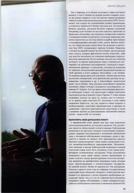Там, к примеру, есть низкие налоговые ставки для такого бизнеса, о чем в Латвии на данный момент говорить нельзя. Но можно говорить о том, что многие страны проявляют гибкость к внесению различных расходов в базу ПНП. Это означает, что следует не устанавливать особые ограничения, а позволить перенести в бизнес-расходы всё, что касается бизнеса, рекламы, расходов больших мировых компании. Например, если человек на частном самолете прилетает из Бразилии в Колумбию, где находятся конкретные клиенты, с которыми человек встречается, поскольку перевозка клиентов самолетом до сих пор является краине престижным и подтверждающим высокий статус делом. Вполне понятно, что такие расходы можно было бы включить в расчетную базу ПНП, подчеркивает партнер Sorainen. Напротив, в Латвии на данный момент на это смотрят, как на расходы люкс-класса, которые фактически нельзя отчислить, либо для хотя бы частичного их списания необходимо подготовить кучу документов. По его мнению, нам все же стоило бы взглянуть на другие юрисдикции мира и попытаться скопировать их налоговое регулирование, поскольку в вышеупомянутом примере, к сожалению, упомянутая компания по торговле сельскохозяйственной продукцией именно по этой причине в итоге выбрала Люксембург, а не Латвию. По мнению представителеи компании, Латвия еще не была достаточно интересной, хотя фактические расходы на руководство, помещения и др. в Люксембурге значительно выше, чем в Латвии. «Мы упускаем возможность привлечь компании, оборот которых измеряется миллиардами», заключает Я. Таукачс. В то же время эти компании пристально наблюдают и видят, что происходит в сфере налогового законодательства в каждой стране Европы. С точки зрения косвенных налогов мы вряд ли сможем как-то отличаться от других стран-участниц ЕС, поскольку в этом плане заправляет Брюссель, где уже задаются новые вопросы о необоснованных налоговых преимуществах в авиации по сравнению с другими транспортными средствами, а также о влиянии налогов на регулирование изменений климата (читай - акциз и НДС на топливо).

### ВЫПОЛНИТЬ СВОЮ ДОМАШНЮЮ РАБОТУ

С юридической точки зрения нам еще надо выполнить свою домашнюю работу, но она уже в процессе. Так, для Латвии является обязательной соответствующая Кейптаунская конвенция и ее протокол, которые устанавливают международное правовое регулирование в отношении обеспечения прав и интересов собственников воздушных судов и приоритета в сделках по лизингу этих транспортных средств. Протокол предусматривает также защиту кредиторов в случае неплатежеспособиости авиаперевозчика. Экономическое значение и выгода Кеиптаунскои конвенции в каждои отдельной стране могут быть улучшены, если страны ратифицируют установленные декларации. Тогда пользователь воздушного судна такои страны сможет претендовать на право получить скидку финансирования Агентства экспортных кредитов на приобретение воздушных судов, которые будут зарегистрированы в соответствующем государстве. На данный момент Латвия не приняла все эти декларации. Поэтому в августе этого года на собрании государствениых секретарей были объявлены поправки к Кеиптаунской конвенции и ее протоколу с целью принятия необходимых декларации. Кроме того, на том же собрании были объявлены поправки к закону «Об авиации», а также планируется разработать необходимые изменения в связанных правилах КМ.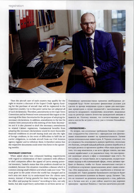

Then the aircraft user of such country may qualify for the right to receive a discount of the Export Credit Agency funding for the purchase of aircraft that will be registered in the respective country. Up to this point Latvia has not adopted ali of such declarations. Therefore, amendments to the Cape Town Convention and its Protocol were announced this August at the meeting of the State Secretaries for the purpose of adopting the necessary declarations. In addition, amendments to the law On Aviation were announced at this meeting of the State Secretaries and it is also planned to draft the necessary amendments to related Cabinet regulations. Fundamental benefits from adopting the necessary declarations would be more favourable financial conditions in aircraft leasing deals and also the right of foreign creditors, in the event of difficulties to fulfil the air carrier obligations, to exclude aircraft from our Civil Aviation Agency register and to withdraw them. It therefore seems that the respective documents could enter into force in the upcoming months.

### TEMPORARY CONDITiON

When asked about how enhanced banking requirements with regard to collaboration of their customers with offshore or shell companies affect the appeal of Latvia among potential investors, Taukačs states that this problem should not be escalated, because this situation resembles a disease which is common among small children and which ends over time: "We must grow to the point where the world has changed and in each area one must try to understand how the clients earn money, instead of being grateful for them bringing cash to the office and paying the invoice." According to him, not only banks, but also supervisory authorities in services sector acОсновными преимуществами принятия необходимых декларации будут более выгодные финансовые условия для сделок по аренде воздушных судов и право для иностранных кредиторов в случае трудностей с выполнением обязательств воздушного перевозчика исключить воздушные суда из регистра нашего Агентства гражданской авиации и вывезти их. Поэтому похоже, что соответствующие документы могли бы вступить в силу уже в течение ближайших месяцев.

### «ПЕРЕБОЛЕНИЕ»

На вопрос, как усиленные требования банков в отношении сотрудничества клиентов с офшорными или фиктивными компаниями влияют на привлекательность Латвии среди потенциальных инвесторов, Я. Таукачс отмечает, что не следовало бы эскалировать данную проблему, поскольку это болезнь, которой каждый ребенок должен переболеть и которая должна со временем проити: «Нам надо дорасти до того, что мир изменился, и во всех сферах понять, как наш клиент зарабатывает, а не радоваться тому, что нам приносят наличные деньги в офис и оплачивают наш счет». По его словам, не только банки, но и учреждения, осуществляющие надзор в обслуживающей сфере, очень активно требуют от бизнеса, чтобы тот более внимательно смотрел и углублялся в изучение происхождения денег своих клиентов. «Это нормально, и мы этим переболеем в течение нескольких лет. Такое развитие банковского сектора не будет иметь негативного влияния на бизнес-среду Латвии». Так, это не повлияет на решения коммерсанта о том, работать ли в Латвии или нет, и уже сейчас имеется ряд хороших примеров - крупные бизнесы с чистым капиталом россий